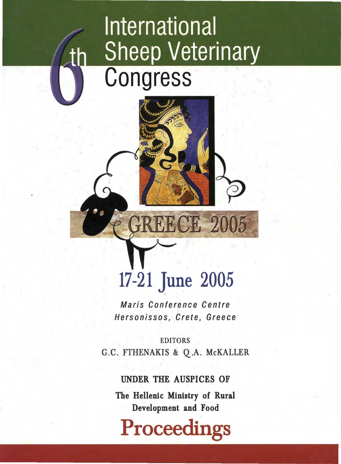# International **Sheep Veterinary ongress**

# **17-21 June 2005**

**GREECE 2005** 

Maris Conference Centre Hersonissos, Crete, Greece

EDITORS G.C. FTHENAKIS & Q.A. McKALLER

## UNDER THE AUSPICES OF

The Hellenic Ministry of Rural Development and Food

**Proceedings**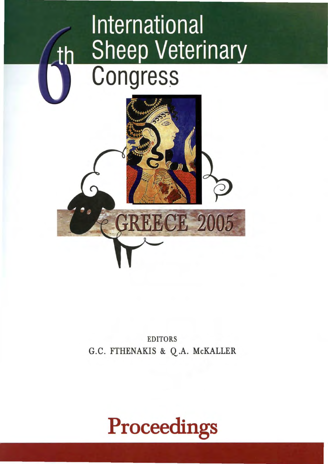# International **Sheep Veterinary Congress**



EDITORS G.C. FTHENAKIS & Q.A. McKALLER

## **Proceedings**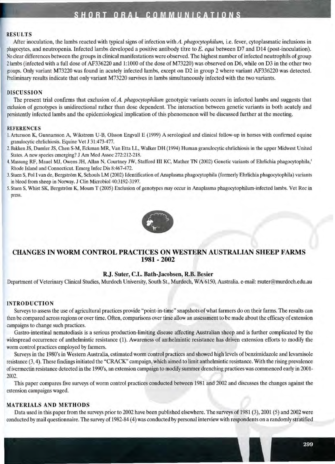### SHORT ORAL COMMUNICATIONS

#### RESULTS

After inoculation, the lambs reacted with typical signs of infection with *A. phagocytophilum,* i.e. fever, cytoplasmatic inclusions in phagocytes, and neutropenia. Infected lambs developed a positive antibody titre to *E. equi* between D7 and D14 (post-inoculation). No clear differences between the groups in clinical manifestations were observed. The highest number of infected neutrophils of group 2 lambs (infected with a full dose of AF336220 and 1:1 000 of the dose of M73220) was observed on D6, while on D3 in the other two groups. Only variant M73220 was found in acutely infected lambs, except on D2 in group 2 where variant AF336220 was detected. Preliminary results indicate that only variant M73220 survives in lambs simultaneously infected with the two variants.

#### DISCUSSION

The present trial confirms that exclusion of *A. phagocytophilum* genotypic variants occurs in infected lambs and suggests that exclusion of genotypes is unidirectional rather than dose dependent. The interaction between genetic variants in both acutely and persistently infected lambs and the epidemiological implication of this phenomenon will be discussed further at the meeting.

#### **REFERENCES**

- 1. Artursson K, Gunnarsson A, Wikstrøm U-B, Olsson Engvall E (1999) A serological and clinical follow-up in horses with confirmed equine granulocytic ehrlichiosis. Equine Vet J 31:473-477.
- 1 Bakken JS, Dumler JS, Chen S-M, Eckman MR, Van Etla LL. Walker DH (1994) Human granulocytic ehrlichiosis in the upper Midwest United States. A new species emerging? JAmMed Assoc 272:212-218.
- 4. Massung RF, Mauel MJ, Owens JH, Allan N, Courtney JW, Stafford III KC, Mather TN (2002) Genetic variants of Ehrlichia phagocytophila,' Rhode Island and Connecticut. Emerg Infec Dis 8:467-472.
- 3. Stuen S, Pol I van de, Bergstrom K, Schouls LM (2002) Identification of Anaplasma phagocytophila (formerly Ehrlichia phagocytophila) variants in blood from sheep in Norway. J Clin Microbiol 40:3192-3197.
- S. Stuen S, Whist SK, Bergstrom K, Mourn T (2005) Exclusion of genotypes may occur in Anaplasma phagocytophilum-infected lambs. Vel Rec in press.



#### CHANGES IN WORM CONTROL PRACTICES ON WESTERN AUSTRALIAN SHEEP FARMS 1981- 2002

#### R.J. Suter, C.L. Bath-Jacobsen, R.B. Besier

Department of Veterinary Clinical Studies, Murdoch University, South St., Murdoch, WA 6150, Australia. e-mail: rsuter@murdoch.edu.au

#### INTRODUCTION

Surveys to assess the use of agricultural practices provide "point-in-time" snapshots of what farmers do on their farms. The results can then be compared across regions or over time. Often, comparisons over time allow an assessment to be made about the efficacy of extension campaigns to change such practices.

Gastro-intestinal nematodiasis is a serious production-limiting disease affecting Australian sheep and is further complicated by the widespread occurrence of anthelmintic resistance (1). Awareness of anthelmintic resistance has driven extension efforts to modify the worm control practices employed by farmers.

Surveys in the 1980's in Western Australia, estimated worm control practices and showed high levels of benzimidazole and levamisole resistance (3, 4). These findings initiated the "CRACK" campaign, which aimed to limit anthelmintic resistance. With the rising prevalence of ivermectin resistance detected in the 1990's, an extension campaign to modify summer drenching practices was commenced early in 2001- 2002.

This paper compares five surveys of worm control practices conducted between 1981 and 2002 and discusses the changes against the extension campaigns waged.

#### MATERIALS AND METHODS

Data used in this paper from the surveys prior to 2002 have been published elsewhere. The surveys of 1981 (3),2001 (5) and 2002 were conducted by mail questionnaire. The survey of 1982-84 (4) was conducted by personal interview with respondents on a randomly stratified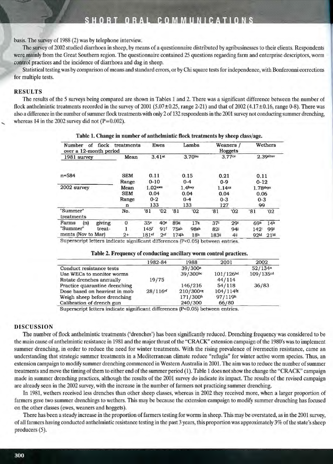basis. The survey of 1988 (2) was by telephone interview.

The survey of 2002 studied diarrhoea in sheep, by means of a questionnaire distributed by agribusinesses to their clients. Respondents were mainly from the Great Southern region. The questionnaire contained 25 questions regarding farm and enterprise descriptors, worm control practices and the incidence of diarrhoea and dag in sheep.

Statistical testing was by comparison of means and standard errors, or by Chi square tests for independence, with Bonferonni corrections for multiple tests.

#### RESULTS

The results of the 5 surveys being compared are shown in Tables 1 and 2. There was a significant difference between the number of flock anthelmintic treatments recorded in the survey of 2001 (5.07 $\pm$ 0.25, range 2-21) and that of 2002 (4.17 $\pm$ 0.16, range 0-8). There was also a difference in the number of summer flock treatments with only 2 of 132 respondents in the 2001 survey not conducting summer drenching, whereas 14 in the 2002 survey did not  $(P=0.002)$ .

| flock<br>of<br>Number<br>over a 12-month period | treatments  |                   | Ewes            |                  | Lambs           |                 | Weaners<br>Hoggets |                  | Wethers          |
|-------------------------------------------------|-------------|-------------------|-----------------|------------------|-----------------|-----------------|--------------------|------------------|------------------|
| 1981 survey                                     | Mean        |                   | 3.41at          |                  | 3.70bu          |                 | 3.77cv             |                  | $2.39$ dtuv      |
| $n = 584$                                       | <b>SEM</b>  | 0.11              |                 |                  | 0.15            | 0.21            |                    | 0.11             |                  |
|                                                 | Range       | $0 - 10$          |                 |                  | $0 - 4$         | $0 - 9$         |                    | $0 - 12$         |                  |
| 2002 survey                                     | Mean        | $1.02$ awx        |                 | $1.4$ bwy        |                 | 1.14cz          |                    | 1.78dxyz         |                  |
|                                                 | <b>SEM</b>  | 0.04              |                 | 0.04             |                 | 0.04            |                    | 0.06             |                  |
|                                                 | Range       | $0 - 2$           |                 | $0 - 4$          |                 | $0 - 3$         |                    | $0 - 3$          |                  |
|                                                 | n           | 133               |                 | 133              |                 | 127             |                    | 99               |                  |
| "Summer"<br>treatments                          | No.         | '81               | '02             | '81              | '02             | '81             | '02                | '81              | '02              |
| giving<br>Farms<br>(n)                          | $\mathbf 0$ | 35 <sup>e</sup>   | 40 <sup>c</sup> | 89s              | 17 <sub>s</sub> | 37 <sup>i</sup> | 29i                | 69k              | 14 <sup>k</sup>  |
| "Summer"<br>treat-                              |             | 145f              | 91f             | $75$ gh          | 98gh            | 82i             | 94i                | 142'             | 991              |
| ments (Nov to Mar)                              | $2+$        | 181 <sub>ef</sub> | 2 <sup>cf</sup> | 174 <sup>h</sup> | 18 <sup>h</sup> | 183ii           | 4ij                | 92 <sup>kl</sup> | 21 <sup>kl</sup> |

| Table 1. Change in number of anthelmintic flock treatments by sheep class/age. |  |  |  |
|--------------------------------------------------------------------------------|--|--|--|
|--------------------------------------------------------------------------------|--|--|--|

Superscript letters indicate significant differences (P<O.OS) between entries.

#### Table 2. Frequency of conducting ancillary worm control practices.

|                               | 1982-84              | 1988         | 2001      | 2002      |
|-------------------------------|----------------------|--------------|-----------|-----------|
| Conduct resistance tests      |                      | 39/300a      |           | 52/134a   |
| Use WECs to monitor worms     |                      | 39/300bc     | 101/126bd | 109/135cd |
| Rotate drenches annually      | 19/75                |              | 44/114    |           |
| Practice quarantine drenching |                      | 146/216      | 54/118    | 36/83     |
| Dose based on heaviest in mob | 28/116 <sup>ef</sup> | $210/300$ eg | 104/114%  |           |
| Weigh sheep before drenching  |                      | 171/300h     | 97/119h   |           |
| Calibration of drench gun     |                      | 240/300      | 66/80     |           |

Superscript letters indicate significant differences (P<0.05) between entries.

#### DISCUSSION

The number of flock anthelmintic treatments ('drenches') has been significantly reduced. Drenching frequency was considered to be the main cause of anthelmintic resistance in 1981 and the major thrust of the "CRACK" extension campaign of the 1980's was to implement summer drenching, in order to reduce the need for winter treatments. With the rising prevalence of ivermectin resistance, came an understanding that strategic summer treatments in a Mediterranean climate reduce "refugia" for winter active worm species. Thus, an extension campaign to modify summer drenching commenced in Western Australia in 2001. The aim was to reduce the number of summer treatments and move the timing of them to either end of the summer period (1). Table 1 does not show the change the "CRACK" campaign made in summer drenching practices, although the results of the 2001 survey do indicate its impact. The results of the revised campaign are already seen in the 2002 survey, with the increase in the number of farmers not practicing summer drenching.

In 1981, wethers received less drenches than other sheep classes, whereas in 2002 they received more, when a larger proportion of farmers gave two summer drenchings to wethers. This may be because the extension campaign to modify summer drenching has focused on the other classes (ewes, weaners and hoggets).

There has been a steady increase in the proportion of farmers testing for worms in sheep. This may be overstated, as in the 2001 survey, of all farmers having conducted anthelmintic resistance testing in the past 3 years, this proportion was approximately 3% of the state's sheep producers (5).